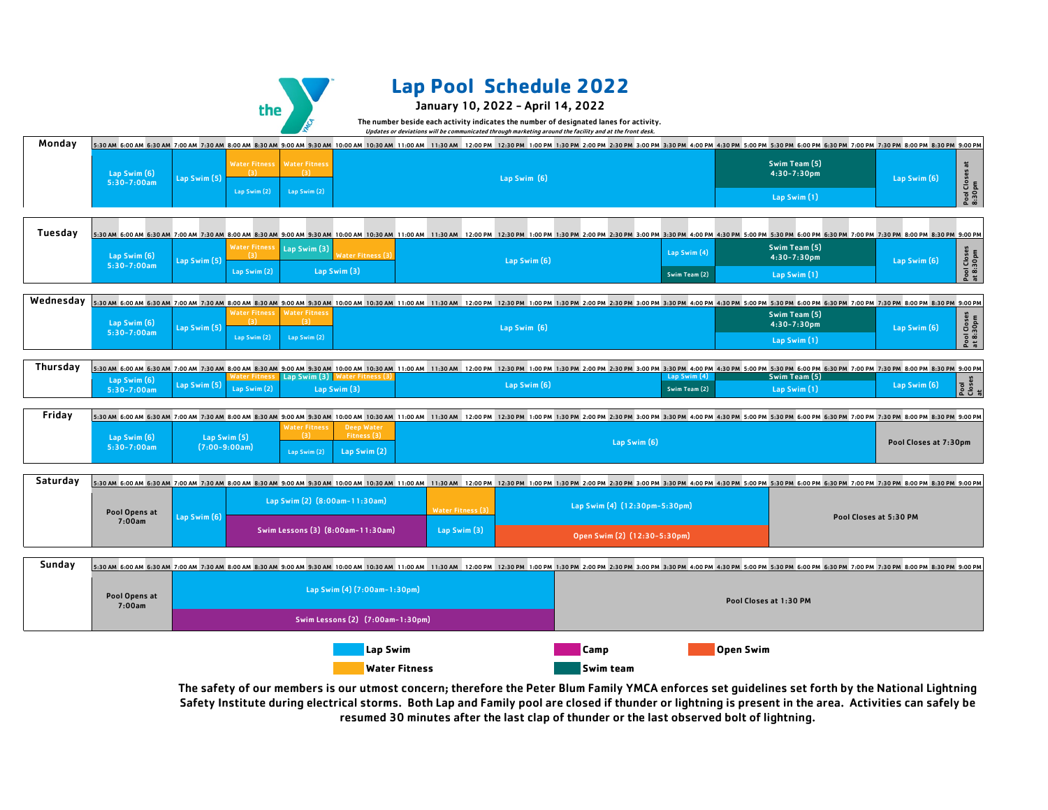

Lap Swim (6)

# **Lap Pool Schedule 2022**

### January 10, 2022 - April 14, 2022

The number beside each activity indicates the number of designated lanes for activity. Updates or deviations will be communicated through marketing around the facility and at the front desk.

The safety of our members is our utmost concern; therefore the Peter Blum Family YMCA enforces set guidelines set forth by the National Lightning Safety Institute during electrical storms. Both Lap and Family pool are closed if thunder or lightning is present in the area. Activities can safely be resumed 30 minutes after the last clap of thunder or the last observed bolt of lightning.

|               |              |              |  |                             |  |  |              |  |  |  |  |              |                                          |  | 6:30 AM 6:30 AM 7:00 AM 7:30 AM 8:00 AM 8:30 AM 9:00 AM 9:30 AM 10:00 AM 10:30 AM 11:00 AM 11:30 AM 11:30 AM 12:30 PM 1:30 PM 3:30 PM 4:30 PM 5:30 PM 5:30 PM 6:00 PM 7:30 PM 8:30 PM 8:30 PM 8:30 PM 5:30 PM 5:30 PM 5:30 PM |  |
|---------------|--------------|--------------|--|-----------------------------|--|--|--------------|--|--|--|--|--------------|------------------------------------------|--|-------------------------------------------------------------------------------------------------------------------------------------------------------------------------------------------------------------------------------|--|
| Swim (6)      | Lap Swim (5) |              |  | Water Fitness Water Fitness |  |  | Lap Swim (6) |  |  |  |  |              | <b>Swim Team (5)</b><br>$4:30 - 7:30$ pm |  | Lap Swim (6)                                                                                                                                                                                                                  |  |
| $0 - 7:00$ am |              | Lap Swim (2) |  | Lap Swim $(2)$              |  |  |              |  |  |  |  | Lap Swim (1) |                                          |  |                                                                                                                                                                                                                               |  |

 $4:30$ 

| 11:00 AM   11:30 AM   12:00 PM   12:30 PM   1:00 PM   1:30 PM   2:00 PM   2:30 PM   3:30 PM   4:00 PM   4:30 PM 5:00 PM   5:30 PM   6:00 PM   6:30 PM   7:00 PM |  |  |              |  |  |  |  |  |
|-----------------------------------------------------------------------------------------------------------------------------------------------------------------|--|--|--------------|--|--|--|--|--|
|                                                                                                                                                                 |  |  |              |  |  |  |  |  |
|                                                                                                                                                                 |  |  | Lap Swim (6) |  |  |  |  |  |
|                                                                                                                                                                 |  |  |              |  |  |  |  |  |

|             |                       | 10:00 AM 10:30 AM 11:00 AM | $11:30$ AM                                                                                                                                                                    | 12:00 PM | 12:30 PM 1:00 PM 1:30 PM 2:00 PM 2:30 PM 3:00 PM 3:30 PM 4:00 PM 4:30 PM 5:00 PM 5:30 PM 6:00 PM 6:30 PM 7:00 PM 7:30 PM 8:00 PM 8:30 PM 9:00 PM |  |  |                  |                               |  |                  |                        |  |                        |  |  |
|-------------|-----------------------|----------------------------|-------------------------------------------------------------------------------------------------------------------------------------------------------------------------------|----------|--------------------------------------------------------------------------------------------------------------------------------------------------|--|--|------------------|-------------------------------|--|------------------|------------------------|--|------------------------|--|--|
| am-11:30am) |                       |                            | <b>Water Fitness (3)</b>                                                                                                                                                      |          |                                                                                                                                                  |  |  |                  | Lap Swim (4) (12:30pm-5:30pm) |  |                  |                        |  |                        |  |  |
|             | 00am-11:30am)         |                            | Lap Swim (3)                                                                                                                                                                  |          |                                                                                                                                                  |  |  |                  | Open Swim (2) (12:30-5:30pm)  |  |                  |                        |  | Pool Closes at 5:30 PM |  |  |
|             |                       |                            |                                                                                                                                                                               |          |                                                                                                                                                  |  |  |                  |                               |  |                  |                        |  |                        |  |  |
|             |                       |                            | 10:00 AM 10:30 AM 11:00 AM 11:30 AM 12:00 PM 12:30 PM 1:00 PM 1:30 PM 2:00 PM 2:30 PM 3:00 PM 4:00 PM 4:30 PM 5:00 PM 5:30 PM 6:00 PM 6:30 PM 7:00 PM 7:30 PM 8:00 PM 9:00 PM |          |                                                                                                                                                  |  |  |                  |                               |  |                  |                        |  |                        |  |  |
|             | m (4) (7:00am-1:30pm) |                            |                                                                                                                                                                               |          |                                                                                                                                                  |  |  |                  |                               |  |                  | Pool Closes at 1:30 PM |  |                        |  |  |
|             |                       | ons (2) (7:00am-1:30pm)    |                                                                                                                                                                               |          |                                                                                                                                                  |  |  |                  |                               |  |                  |                        |  |                        |  |  |
|             | Lap Swim              |                            |                                                                                                                                                                               |          |                                                                                                                                                  |  |  | <b>Camp</b>      |                               |  | <b>Open Swim</b> |                        |  |                        |  |  |
|             |                       |                            |                                                                                                                                                                               |          |                                                                                                                                                  |  |  |                  |                               |  |                  |                        |  |                        |  |  |
|             | <b>Water Fitness</b>  |                            |                                                                                                                                                                               |          |                                                                                                                                                  |  |  | <b>Swim team</b> |                               |  |                  |                        |  |                        |  |  |

|                           |  | 30 AM 10:00 AM 10:30 AM 11:00 AM 11:30 AM 12:00 PM 12:30 PM 1:00 PM 1:30 PM 2:00 PM 2:30 PM 3:00 PM 4:00 PM 4:30 PM 5:00 PM 5:30 PM 6:00 PM 6:30 PM 7:00 PM 8:00 PM 8:00 PM |  |              |  |  |              |                      |  |              |               |  |          |
|---------------------------|--|-----------------------------------------------------------------------------------------------------------------------------------------------------------------------------|--|--------------|--|--|--------------|----------------------|--|--------------|---------------|--|----------|
| า (3)   Water Fitness (3) |  |                                                                                                                                                                             |  |              |  |  | Lap Swim (4) |                      |  |              | Swim Team (5) |  |          |
| Lap Swim (3)              |  |                                                                                                                                                                             |  | Lap Swim (6) |  |  |              | <b>Swim Team (2)</b> |  | Lap Swim (1) |               |  | Lap Swim |

| Wednesday |                                  |  |  |              |              |                                      |              | 5:30 AM 6:00 AM 6:30 AM 7:00 AM 7:30 AM 8:00 AM 8:30 AM 9:00 AM 9:30 AM 10:00 AM 10:30 AM |  |
|-----------|----------------------------------|--|--|--------------|--------------|--------------------------------------|--------------|-------------------------------------------------------------------------------------------|--|
|           |                                  |  |  |              |              | <b>Water Fitness   Water Fitness</b> |              |                                                                                           |  |
|           | Lap Swim (6)<br>$5:30 - 7:00$ am |  |  | Lap Swim (5) | Lap Swim (2) |                                      | Lap Swim (2) |                                                                                           |  |

| Thursday |                                  |  |  |                           |  | 5:30 AM 6:00 AM 6:30 AM 7:00 AM 7:30 AM 8:00 AM 8:30 AM 9:00 AM 9:30 AM 10:00 AM 10:30 AM |  |
|----------|----------------------------------|--|--|---------------------------|--|-------------------------------------------------------------------------------------------|--|
|          | Lap Swim (6)<br>$5:30 - 7:00$ am |  |  | Lap Swim (5) Lap Swim (2) |  | Water Fitness Lap Swim (3) Water Fitness (3)<br>Lap Swim (3)                              |  |

| Pool Opens at<br>7:00am | Lap Swim (6) | Lap Jwim (2) (0.000m This bam)<br>Swim Lessons (3) (8:00am-11:30am) |
|-------------------------|--------------|---------------------------------------------------------------------|
|                         |              |                                                                     |

| <b>Tuesday</b> | 5:30 AM 6:00 AM 6:30 AM 7:00 AM 7:30 AM 8:00 AM 8:30 AM 9:00 AM 9:00 AM 10:00 AM 10:00 AM 10:30 AM 10:00 AM 10:30 AM 11:00 AM 11:30 AM 12:00 PM 3:30 PM 4:30 PM 5:30 PM 5:30 PM 6:30 PM 5:30 PM 7:00 PM 8:30 PM 8:30 PM 8:30 P |              |                             |                                                                                                                                                                                                                                                                         |                   |  |              |  |                      |                                          |              |                          |
|----------------|--------------------------------------------------------------------------------------------------------------------------------------------------------------------------------------------------------------------------------|--------------|-----------------------------|-------------------------------------------------------------------------------------------------------------------------------------------------------------------------------------------------------------------------------------------------------------------------|-------------------|--|--------------|--|----------------------|------------------------------------------|--------------|--------------------------|
|                | Lap Swim (6)                                                                                                                                                                                                                   | Lap Swim (5) | <b>Water Fitness</b>        | Lap Swim (3)                                                                                                                                                                                                                                                            | Water Fitness (3) |  | Lap Swim (6) |  | Lap Swim (4)         | <b>Swim Team (5)</b><br>$4:30 - 7:30$ pm | Lap Swim (6) | Pool Closes<br>at 8:30pm |
|                | $5:30-7:00am$                                                                                                                                                                                                                  |              | Lap Swim (2)                |                                                                                                                                                                                                                                                                         | Lap Swim (3)      |  |              |  | <b>Swim Team (2)</b> | Lap Swim (1)                             |              |                          |
|                |                                                                                                                                                                                                                                |              |                             |                                                                                                                                                                                                                                                                         |                   |  |              |  |                      |                                          |              |                          |
| Wednesday      | 5:30 AM 6:00 AM 6:30 AM 7:00 AM 7:30 AM 8:00 AM 8:30 AM 9:00 AM 9:00 AM 10:00 AM 10:00 AM 10:00 AM 10:00 AM 10:30 AM 11:00 AM 11:30 AM 12:00 PM 4:30 PM 4:30 PM 5:30 PM 5:30 PM 6:00 PM 5:30 PM 7:00 PM 8:30 PM 8:30 PM 9:00 P |              |                             |                                                                                                                                                                                                                                                                         |                   |  |              |  |                      |                                          |              |                          |
|                |                                                                                                                                                                                                                                |              | $\sim$ $\sim$ $\sim$ $\sim$ | Water Fitness   Water Fitness  <br><u>a shekara ta 1999 na shekara ta 1999 na shekara ta 1999 na shekara ta 1999 na shekara ta 1999 na shekara ta 1999 na shekara ta 1999 na shekara ta 1999 na shekara ta 1999 na shekara ta 1999 na shekara ta 1999 na shekara ta</u> |                   |  |              |  |                      | <b>Swim Team (5)</b>                     |              | $\frac{1}{2}$            |

| <b>Sunday</b> |                                |  |  |  |                              | 5:30 AM 6:00 AM 6:30 AM 7:00 AM 7:30 AM 8:00 AM 8:30 AM 9:00 AM 9:30 AM 10:00 AM 10:30 AM 11:00 AM |
|---------------|--------------------------------|--|--|--|------------------------------|----------------------------------------------------------------------------------------------------|
|               | <b>Pool Opens at</b><br>7:00am |  |  |  | Lap Swim (4) (7:00am-1:30pm) |                                                                                                    |
|               |                                |  |  |  |                              | Swim Lessons (2) (7:00am-1:30pm)                                                                   |

| Friday   | 5:30 AM 6:00 AM 6:30 AM 7:00 AM 7:30 AM 8:00 AM 8:30 AM 9:00 AM 9:30 AM 10:00 AM 10:30 AM 11:00 AM 11:30 AM 12:00 PM 12:30 PM 1:00 PM 1:30 PM 2:00 PM 2:30 PM 3:00 PM |                                                                                                                                                                       |                 |  |                                          |                                                     |              |  |  |  |  |              |
|----------|-----------------------------------------------------------------------------------------------------------------------------------------------------------------------|-----------------------------------------------------------------------------------------------------------------------------------------------------------------------|-----------------|--|------------------------------------------|-----------------------------------------------------|--------------|--|--|--|--|--------------|
|          | Lap Swim (6)                                                                                                                                                          | Lap Swim (5)                                                                                                                                                          |                 |  | <b>Water Fitness</b><br>$\left(3\right)$ | <b>Deep Water</b><br>Fitness (3)                    |              |  |  |  |  |              |
|          | $5:30 - 7:00$ am                                                                                                                                                      |                                                                                                                                                                       | $(7:00-9:00am)$ |  | Lap Swim (2)                             |                                                     | Lap Swim (2) |  |  |  |  | Lap Swim (6) |
|          |                                                                                                                                                                       |                                                                                                                                                                       |                 |  |                                          |                                                     |              |  |  |  |  |              |
| Saturday |                                                                                                                                                                       | 5:30 AM 6:00 AM 6:30 AM 7:00 AM 7:30 AM 8:00 AM 8:30 AM 9:00 AM 9:30 AM 10:00 AM 10:30 AM 11:00 AM 11:30 AM 12:00 PM 12:30 PM 1:00 PM 1:30 PM 2:00 PM 2:30 PM 3:00 PM |                 |  |                                          |                                                     |              |  |  |  |  |              |
|          |                                                                                                                                                                       |                                                                                                                                                                       |                 |  |                                          | $l$ an Swim (2) $(R \cdot 00$ am-11 $ \cdot 30$ am) |              |  |  |  |  |              |



| Monday | 5:30 AM 6:00 AM 6:30 AM 7:00 AM 7:30 AM 8:00 AM 8:30 AM 9:00 AM 9:30 AM 10:00 AM 10:30 AM 11:00 AM 11:30 AM 12:00 PM 12:30 PM 1:00 PM 1:30 PM 2:00 PM 2:30 PM 3:00 PM |              |              |                                                           |  |  |              |  |  |  |
|--------|-----------------------------------------------------------------------------------------------------------------------------------------------------------------------|--------------|--------------|-----------------------------------------------------------|--|--|--------------|--|--|--|
|        | Lap Swim (6)<br>5:30-7:00am                                                                                                                                           | Lap Swim (5) | Lap Swim (2) | <b>Water Fitness Water Fitness</b><br>〔3〕<br>Lap Swim (2) |  |  | Lap Swim (6) |  |  |  |

| 6:30 PM 6:00 PM 6:30 PM 7:00 PM 7:30 PM 8:00 PM 8:30 PM 9:00 PM |              |                                      |
|-----------------------------------------------------------------|--------------|--------------------------------------|
| wim Team (5)<br>4:30-7:30pm                                     | Lap Swim (6) | Closes<br>30pm<br>$\overline{m}$     |
| Lap Swim (1)                                                    |              | $\ddot{\bm{\omega}}$<br>Pool<br>at 8 |

| 5:30 PM 6:00 PM 6:30 PM 7:00 PM 7:30 PM 8:00 PM 8:30 PM 9:00 PM |  |  |              |       |  |
|-----------------------------------------------------------------|--|--|--------------|-------|--|
| <b>Swim Team (5)</b>                                            |  |  |              |       |  |
| Lap Swim (1)                                                    |  |  | Lap Swim (6) | loses |  |

| 5:00 PM 5:30 PM 6:00 PM 6:30 PM 7:00 PM 7:30 PM 8:00 PM 8:30 PM 9:00 PM |  |  |              |                           |
|-------------------------------------------------------------------------|--|--|--------------|---------------------------|
| Swim Team (5)<br>$4:30 - 7:30$ pm                                       |  |  | Lap Swim (6) | đ<br>ool Closes<br>8:30pm |
| Lap Swim (1)                                                            |  |  |              |                           |

| PM  6:00 PM  6:30 PM  7:00 PM  7:30 PM  8:00 PM  8:30 PM  9:00 PM |  |  |                       |  |
|-------------------------------------------------------------------|--|--|-----------------------|--|
|                                                                   |  |  |                       |  |
|                                                                   |  |  | Pool Closes at 7:30pm |  |
|                                                                   |  |  |                       |  |